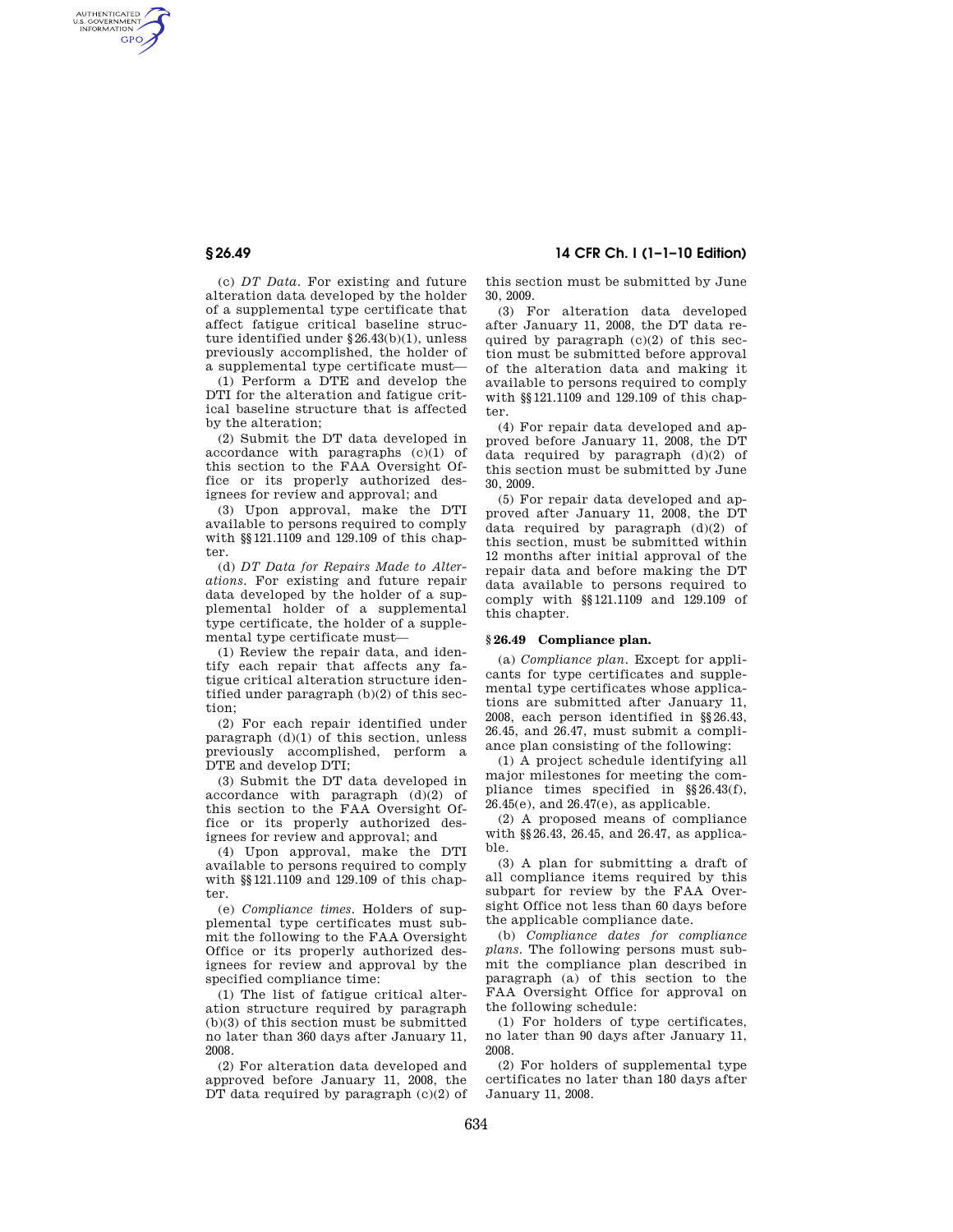AUTHENTICATED<br>U.S. GOVERNMENT<br>INFORMATION GPO

**§ 26.49 14 CFR Ch. I (1–1–10 Edition)** 

(c) *DT Data.* For existing and future alteration data developed by the holder of a supplemental type certificate that affect fatigue critical baseline structure identified under §26.43(b)(1), unless previously accomplished, the holder of a supplemental type certificate must—

(1) Perform a DTE and develop the DTI for the alteration and fatigue critical baseline structure that is affected by the alteration;

(2) Submit the DT data developed in accordance with paragraphs (c)(1) of this section to the FAA Oversight Office or its properly authorized designees for review and approval; and

(3) Upon approval, make the DTI available to persons required to comply with §§121.1109 and 129.109 of this chapter.

(d) *DT Data for Repairs Made to Alterations.* For existing and future repair data developed by the holder of a supplemental holder of a supplemental type certificate, the holder of a supplemental type certificate must—

(1) Review the repair data, and identify each repair that affects any fatigue critical alteration structure identified under paragraph (b)(2) of this section;

(2) For each repair identified under paragraph (d)(1) of this section, unless previously accomplished, perform a DTE and develop DTI;

(3) Submit the DT data developed in accordance with paragraph (d)(2) of this section to the FAA Oversight Office or its properly authorized designees for review and approval; and

(4) Upon approval, make the DTI available to persons required to comply with §§121.1109 and 129.109 of this chapter.

(e) *Compliance times.* Holders of supplemental type certificates must submit the following to the FAA Oversight Office or its properly authorized designees for review and approval by the specified compliance time:

(1) The list of fatigue critical alteration structure required by paragraph (b)(3) of this section must be submitted no later than 360 days after January 11, 2008.

(2) For alteration data developed and approved before January 11, 2008, the DT data required by paragraph (c)(2) of this section must be submitted by June 30, 2009.

(3) For alteration data developed after January 11, 2008, the DT data required by paragraph (c)(2) of this section must be submitted before approval of the alteration data and making it available to persons required to comply with §§121.1109 and 129.109 of this chapter.

(4) For repair data developed and approved before January 11, 2008, the DT data required by paragraph (d)(2) of this section must be submitted by June 30, 2009.

(5) For repair data developed and approved after January 11, 2008, the DT data required by paragraph (d)(2) of this section, must be submitted within 12 months after initial approval of the repair data and before making the DT data available to persons required to comply with §§121.1109 and 129.109 of this chapter.

## **§ 26.49 Compliance plan.**

(a) *Compliance plan.* Except for applicants for type certificates and supplemental type certificates whose applications are submitted after January 11, 2008, each person identified in §§26.43, 26.45, and 26.47, must submit a compliance plan consisting of the following:

(1) A project schedule identifying all major milestones for meeting the compliance times specified in §§26.43(f), 26.45(e), and 26.47(e), as applicable.

(2) A proposed means of compliance with §§26.43, 26.45, and 26.47, as applicable.

(3) A plan for submitting a draft of all compliance items required by this subpart for review by the FAA Oversight Office not less than 60 days before the applicable compliance date.

(b) *Compliance dates for compliance plans.* The following persons must submit the compliance plan described in paragraph (a) of this section to the FAA Oversight Office for approval on the following schedule:

(1) For holders of type certificates, no later than 90 days after January 11, 2008.

(2) For holders of supplemental type certificates no later than 180 days after January 11, 2008.